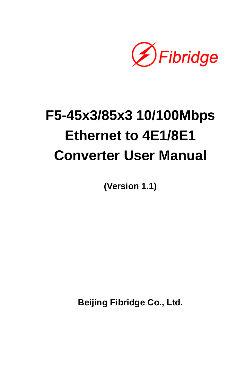

# **F5-45x3/85x3 10/100Mbps Ethernet to 4E1/8E1 Converter User Manual**

**(Version 1.1)** 

**Beijing Fibridge Co., Ltd.**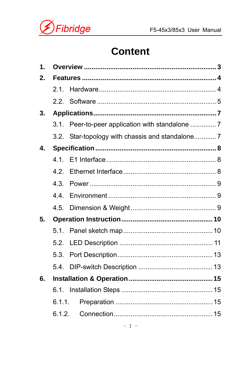

# **Content**

| 1.               |        |                                                 |  |  |  |  |
|------------------|--------|-------------------------------------------------|--|--|--|--|
| 2.               |        |                                                 |  |  |  |  |
|                  | 2.1.   |                                                 |  |  |  |  |
|                  | 2.2.   |                                                 |  |  |  |  |
| 3.               |        |                                                 |  |  |  |  |
|                  | 3.1.   | Peer-to-peer application with standalone 7      |  |  |  |  |
|                  |        | 3.2. Star-topology with chassis and standalone7 |  |  |  |  |
| $\blacktriangle$ |        |                                                 |  |  |  |  |
|                  |        |                                                 |  |  |  |  |
|                  | 42     |                                                 |  |  |  |  |
|                  | 4.3    |                                                 |  |  |  |  |
|                  | 44     |                                                 |  |  |  |  |
|                  | 4.5.   |                                                 |  |  |  |  |
| 5.               |        |                                                 |  |  |  |  |
|                  | 5.1.   |                                                 |  |  |  |  |
|                  | 5.2.   |                                                 |  |  |  |  |
|                  | 5.3.   |                                                 |  |  |  |  |
|                  | 5.4.   |                                                 |  |  |  |  |
| 6.               |        |                                                 |  |  |  |  |
|                  | 6.1.   |                                                 |  |  |  |  |
|                  | 6.1.1. |                                                 |  |  |  |  |
|                  | 6.1.2. |                                                 |  |  |  |  |
|                  |        |                                                 |  |  |  |  |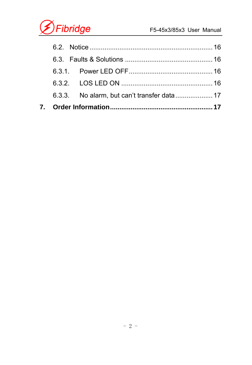

|  | 6.3.3. No alarm, but can't transfer data 17 |  |
|--|---------------------------------------------|--|
|  |                                             |  |
|  |                                             |  |
|  |                                             |  |
|  |                                             |  |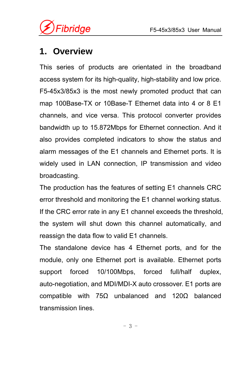

# **1. Overview**

This series of products are orientated in the broadband access system for its high-quality, high-stability and low price. F5-45x3/85x3 is the most newly promoted product that can map 100Base-TX or 10Base-T Ethernet data into 4 or 8 E1 channels, and vice versa. This protocol converter provides bandwidth up to 15.872Mbps for Ethernet connection. And it also provides completed indicators to show the status and alarm messages of the E1 channels and Ethernet ports. It is widely used in LAN connection, IP transmission and video broadcasting.

The production has the features of setting E1 channels CRC error threshold and monitoring the E1 channel working status. If the CRC error rate in any E1 channel exceeds the threshold, the system will shut down this channel automatically, and reassign the data flow to valid E1 channels.

The standalone device has 4 Ethernet ports, and for the module, only one Ethernet port is available. Ethernet ports support forced 10/100Mbps, forced full/half duplex, auto-negotiation, and MDI/MDI-X auto crossover. E1 ports are compatible with 75Ω unbalanced and 120Ω balanced transmission lines.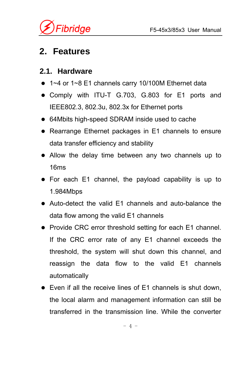

# **2. Features**

#### **2.1. Hardware**

- $\bullet$  1~4 or 1~8 E1 channels carry 10/100M Ethernet data
- Comply with ITU-T G.703, G.803 for E1 ports and IEEE802.3, 802.3u, 802.3x for Ethernet ports
- 64Mbits high-speed SDRAM inside used to cache
- Rearrange Ethernet packages in E1 channels to ensure data transfer efficiency and stability
- Allow the delay time between any two channels up to 16ms
- $\bullet$  For each E1 channel, the payload capability is up to 1.984Mbps
- Auto-detect the valid E1 channels and auto-balance the data flow among the valid E1 channels
- Provide CRC error threshold setting for each E1 channel. If the CRC error rate of any E1 channel exceeds the threshold, the system will shut down this channel, and reassign the data flow to the valid E1 channels automatically
- $\bullet$  Even if all the receive lines of E1 channels is shut down, the local alarm and management information can still be transferred in the transmission line. While the converter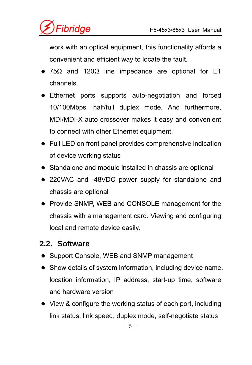

work with an optical equipment, this functionality affords a convenient and efficient way to locate the fault.

- 75 $\Omega$  and 120 $\Omega$  line impedance are optional for E1 channels.
- Ethernet ports supports auto-negotiation and forced 10/100Mbps, half/full duplex mode. And furthermore, MDI/MDI-X auto crossover makes it easy and convenient to connect with other Ethernet equipment.
- Full LED on front panel provides comprehensive indication of device working status
- Standalone and module installed in chassis are optional
- 220VAC and -48VDC power supply for standalone and chassis are optional
- Provide SNMP, WEB and CONSOLE management for the chassis with a management card. Viewing and configuring local and remote device easily.

#### **2.2. Software**

- Support Console, WEB and SNMP management
- Show details of system information, including device name, location information, IP address, start-up time, software and hardware version
- View & configure the working status of each port, including link status, link speed, duplex mode, self-negotiate status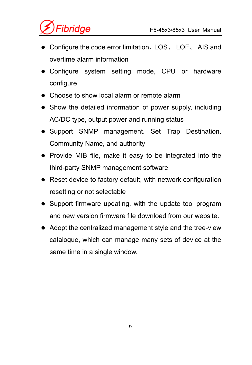

- Configure the code error limitation、LOS、 LOF、 AIS and overtime alarm information
- Configure system setting mode, CPU or hardware configure
- Choose to show local alarm or remote alarm
- Show the detailed information of power supply, including AC/DC type, output power and running status
- Support SNMP management. Set Trap Destination, Community Name, and authority
- Provide MIB file, make it easy to be integrated into the third-party SNMP management software
- Reset device to factory default, with network configuration resetting or not selectable
- Support firmware updating, with the update tool program and new version firmware file download from our website.
- Adopt the centralized management style and the tree-view catalogue, which can manage many sets of device at the same time in a single window.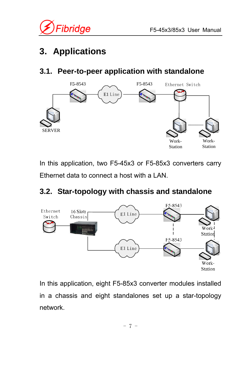

# **3. Applications**

## **3.1. Peer-to-peer application with standalone**



In this application, two F5-45x3 or F5-85x3 converters carry Ethernet data to connect a host with a LAN.

# **3.2. Star-topology with chassis and standalone**



In this application, eight F5-85x3 converter modules installed in a chassis and eight standalones set up a star-topology network.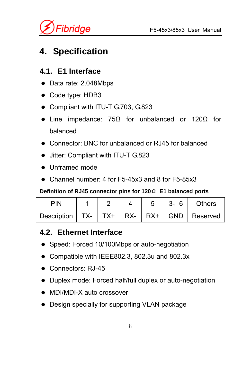



# **4. Specification**

## **4.1. E1 Interface**

- Data rate: 2.048Mbps
- Code type: HDB3
- Compliant with ITU-T G.703, G.823
- Line impedance: 75Ω for unbalanced or 120Ω for balanced
- Connector: BNC for unbalanced or RJ45 for balanced
- Jitter: Compliant with ITU-T G.823
- Unframed mode
- $\bullet$  Channel number: 4 for F5-45x3 and 8 for F5-85x3

**Definition of RJ45 connector pins for 120**Ω **E1 balanced ports** 

| PIN                                                  |  |  | 3,6丨 | <b>Others</b> |
|------------------------------------------------------|--|--|------|---------------|
| Description   TX-   TX+   RX-   RX+   GND   Reserved |  |  |      |               |

## **4.2. Ethernet Interface**

- Speed: Forced 10/100Mbps or auto-negotiation
- Compatible with IEEE802.3, 802.3u and 802.3x
- Connectors: RJ-45
- Duplex mode: Forced half/full duplex or auto-negotiation
- MDI/MDI-X auto crossover
- Design specially for supporting VLAN package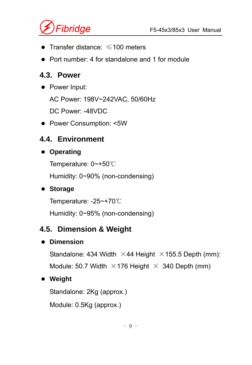

- Transfer distance:  $\leq 100$  meters
- Port number: 4 for standalone and 1 for module

#### **4.3. Power**

- Power Input: AC Power: 198V~242VAC, 50/60Hz DC Power: -48VDC
- Power Consumption: <5W

## **4.4. Environment**

#### **• Operating**

Temperature: 0~+50℃ Humidity: 0~90% (non-condensing)

#### $\bullet$  Storage

Temperature: -25~+70℃

Humidity: 0~95% (non-condensing)

## **4.5. Dimension & Weight**

#### $\bullet$  Dimension

Standalone: 434 Width  $\times$  44 Height  $\times$  155.5 Depth (mm): Module: 50.7 Width  $\times$  176 Height  $\times$  340 Depth (mm)

#### $\bullet$  Weight

Standalone: 2Kg (approx.)

Module: 0.5Kg (approx.)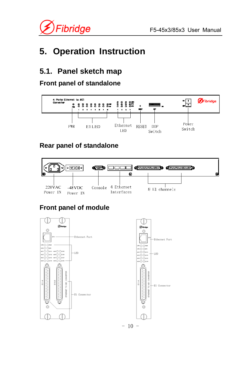

# **5. Operation Instruction**

# **5.1. Panel sketch map**

#### **Front panel of standalone**



#### **Rear panel of standalone**



#### **Front panel of module**

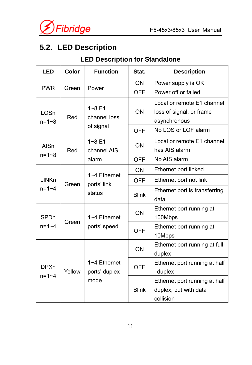

# **5.2. LED Description**

## **LED Description for Standalone**

| <b>LED</b>                 | Color  | <b>Function</b>                        | Stat.        | <b>Description</b>                                                     |
|----------------------------|--------|----------------------------------------|--------------|------------------------------------------------------------------------|
|                            |        | Power                                  | <b>ON</b>    | Power supply is OK                                                     |
| <b>PWR</b>                 | Green  |                                        | <b>OFF</b>   | Power off or failed                                                    |
| <b>LOSn</b><br>$n = 1 - 8$ | Red    | $1 - 8E1$<br>channel loss<br>of signal | ON           | Local or remote E1 channel<br>loss of signal, or frame<br>asynchronous |
|                            |        |                                        | OFF          | No LOS or LOF alarm                                                    |
| <b>AISn</b>                | Red    | $1 - 8E1$<br>channel AIS<br>alarm      | ON           | Local or remote E1 channel<br>has AIS alarm                            |
| $n = 1 - 8$                |        |                                        | <b>OFF</b>   | No AIS alarm                                                           |
|                            | Green  | 1~4 Ethernet<br>ports' link<br>status  | ON           | Ethernet port linked                                                   |
| <b>LINKn</b>               |        |                                        | <b>OFF</b>   | Ethernet port not link                                                 |
| $n = 1 - 4$                |        |                                        | <b>Blink</b> | Ethernet port is transferring<br>data                                  |
| <b>SPDn</b><br>$n = 1 - 4$ | Green  | 1~4 Ethernet<br>ports' speed           | ON           | Ethernet port running at<br>100Mbps                                    |
|                            |        |                                        | <b>OFF</b>   | Ethernet port running at<br>10Mbps                                     |
|                            | Yellow | 1~4 Ethernet<br>ports' duplex<br>mode  | ON           | Ethernet port running at full<br>duplex                                |
| <b>DPXn</b><br>$n = 1 - 4$ |        |                                        | <b>OFF</b>   | Ethernet port running at half<br>duplex                                |
|                            |        |                                        | <b>Blink</b> | Ethernet port running at half<br>duplex, but with data<br>collision    |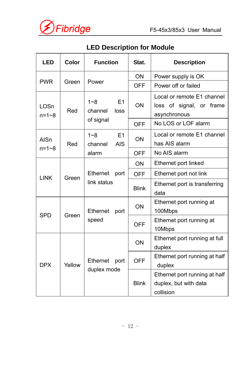

## **LED Description for Module**

| <b>LED</b>                 | Color  | <b>Function</b>                                    | Stat.        | <b>Description</b>                                                     |
|----------------------------|--------|----------------------------------------------------|--------------|------------------------------------------------------------------------|
|                            |        |                                                    | ON           | Power supply is OK                                                     |
| <b>PWR</b>                 | Green  | Power                                              | <b>OFF</b>   | Power off or failed                                                    |
| <b>LOSn</b><br>$n = 1 - 8$ | Red    | F <sub>1</sub><br>$1 - 8$<br>channel<br>loss       | ON           | Local or remote E1 channel<br>loss of signal, or frame<br>asynchronous |
|                            |        | of signal                                          | OFF          | No LOS or LOF alarm                                                    |
| <b>AISn</b>                | Red    | E <sub>1</sub><br>$1 - 8$<br>channel<br><b>AIS</b> | ON           | Local or remote E1 channel<br>has AIS alarm                            |
| $n = 1 - 8$                |        | alarm                                              | <b>OFF</b>   | No AIS alarm                                                           |
|                            | Green  |                                                    | ON           | Ethernet port linked                                                   |
| <b>I INK</b>               |        | Ethernet<br>port                                   | <b>OFF</b>   | Ethernet port not link                                                 |
|                            |        | link status                                        | <b>Blink</b> | Ethernet port is transferring<br>data                                  |
| <b>SPD</b>                 | Green  | Ethernet<br>port                                   | ON           | Ethernet port running at<br>100Mbps                                    |
|                            |        | speed                                              | <b>OFF</b>   | Ethernet port running at<br>10Mbps                                     |
|                            | Yellow |                                                    | ON           | Ethernet port running at full<br>duplex                                |
| <b>DPX</b>                 |        | Ethernet<br>port                                   | <b>OFF</b>   | Ethernet port running at half<br>duplex                                |
|                            |        | duplex mode                                        | <b>Blink</b> | Ethernet port running at half<br>duplex, but with data<br>collision    |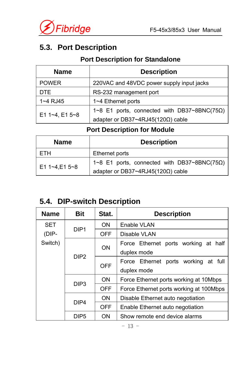

## **5.3. Port Description**

#### **Port Description for Standalone**

| <b>Name</b>    | <b>Description</b>                          |  |  |  |  |
|----------------|---------------------------------------------|--|--|--|--|
| <b>POWER</b>   | 220VAC and 48VDC power supply input jacks   |  |  |  |  |
| <b>DTE</b>     | RS-232 management port                      |  |  |  |  |
| $1 - 4$ R.I45  | 1~4 Ethernet ports                          |  |  |  |  |
|                | 1~8 E1 ports, connected with DB37~8BNC(75Ω) |  |  |  |  |
| E1 1~4, E1 5~8 | adapter or DB37~4RJ45(120 $\Omega$ ) cable  |  |  |  |  |

#### **Port Description for Module**

| <b>Name</b>   | <b>Description</b>                                                                        |
|---------------|-------------------------------------------------------------------------------------------|
| FTH           | Ethernet ports                                                                            |
| E1 1~4.E1 5~8 | 1~8 E1 ports, connected with DB37~8BNC(75Ω)<br>adapter or DB37~4RJ45(120 $\Omega$ ) cable |

## **5.4. DIP-switch Description**

| <b>Name</b> | <b>Bit</b>               | Stat.      | <b>Description</b>                      |  |
|-------------|--------------------------|------------|-----------------------------------------|--|
| <b>SET</b>  | DIP <sub>1</sub>         | ON         | Enable VLAN                             |  |
| $(DIP-$     |                          | <b>OFF</b> | Disable VLAN                            |  |
| Switch)     |                          | ON         | Force Ethernet ports working at half    |  |
|             | DIP <sub>2</sub>         |            | duplex mode                             |  |
|             |                          | <b>OFF</b> | Force Ethernet ports working at full    |  |
|             |                          |            | duplex mode                             |  |
|             | DIP <sub>3</sub><br>DIP4 | ON         | Force Ethernet ports working at 10Mbps  |  |
|             |                          | <b>OFF</b> | Force Ethernet ports working at 100Mbps |  |
|             |                          | <b>ON</b>  | Disable Ethernet auto negotiation       |  |
|             |                          | <b>OFF</b> | Enable Ethernet auto negotiation        |  |
|             | DIP <sub>5</sub>         | ON         | Show remote end device alarms           |  |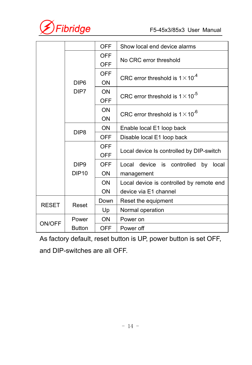

|                  |                  | <b>OFF</b> | Show local end device alarms              |  |  |  |
|------------------|------------------|------------|-------------------------------------------|--|--|--|
|                  |                  | <b>OFF</b> | No CRC error threshold                    |  |  |  |
|                  |                  | <b>OFF</b> |                                           |  |  |  |
|                  |                  | OFF        |                                           |  |  |  |
|                  | DIP <sub>6</sub> | ON         | CRC error threshold is $1 \times 10^{-4}$ |  |  |  |
|                  | DIP7             | ON         | CRC error threshold is $1 \times 10^{-5}$ |  |  |  |
|                  |                  | <b>OFF</b> |                                           |  |  |  |
|                  |                  | ON.        | CRC error threshold is $1 \times 10^{-6}$ |  |  |  |
|                  |                  | ON         |                                           |  |  |  |
| DIP <sub>8</sub> |                  | ON         | Enable local E1 loop back                 |  |  |  |
|                  |                  | <b>OFF</b> | Disable local E1 loop back                |  |  |  |
|                  |                  | <b>OFF</b> |                                           |  |  |  |
|                  |                  | <b>OFF</b> | Local device Is controlled by DIP-switch  |  |  |  |
|                  | DIP <sub>9</sub> | OFF        | Local device is controlled<br>bv<br>local |  |  |  |
|                  | <b>DIP10</b>     | ON         | management                                |  |  |  |
|                  |                  | ON         | Local device is controlled by remote end  |  |  |  |
|                  |                  | OΝ         | device via E1 channel                     |  |  |  |
| <b>RESET</b>     |                  | Down       | Reset the equipment                       |  |  |  |
|                  | Reset            | Up         | Normal operation                          |  |  |  |
|                  | Power            | ON         | Power on                                  |  |  |  |
| ON/OFF           | <b>Button</b>    | <b>OFF</b> | Power off                                 |  |  |  |

As factory default, reset button is UP, power button is set OFF, and DIP-switches are all OFF.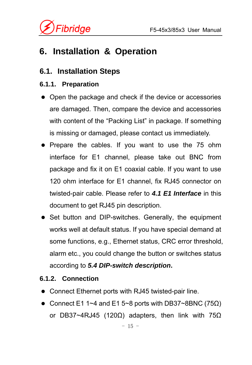

# **6. Installation & Operation**

## **6.1. Installation Steps**

#### **6.1.1. Preparation**

- Open the package and check if the device or accessories are damaged. Then, compare the device and accessories with content of the "Packing List" in package. If something is missing or damaged, please contact us immediately.
- Prepare the cables. If you want to use the 75 ohm interface for E1 channel, please take out BNC from package and fix it on E1 coaxial cable. If you want to use 120 ohm interface for E1 channel, fix RJ45 connector on twisted-pair cable. Please refer to *4.1 E1 Interface* in this document to get RJ45 pin description.
- Set button and DIP-switches. Generally, the equipment works well at default status. If you have special demand at some functions, e.g., Ethernet status, CRC error threshold, alarm etc., you could change the button or switches status according to *5.4 DIP-switch description***.**

#### **6.1.2. Connection**

- Connect Ethernet ports with RJ45 twisted-pair line.
- Connect E1 1~4 and E1 5~8 ports with DB37~8BNC (75 $\Omega$ ) or DB37~4RJ45 (120Ω) adapters, then link with 75Ω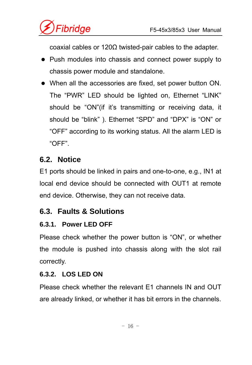

coaxial cables or 120Ω twisted-pair cables to the adapter.

- Push modules into chassis and connect power supply to chassis power module and standalone.
- When all the accessories are fixed, set power button ON. The "PWR" LED should be lighted on, Ethernet "LINK" should be "ON"(if it's transmitting or receiving data, it should be "blink" ). Ethernet "SPD" and "DPX" is "ON" or "OFF" according to its working status. All the alarm LED is "OFF".

## **6.2. Notice**

E1 ports should be linked in pairs and one-to-one, e.g., IN1 at local end device should be connected with OUT1 at remote end device. Otherwise, they can not receive data.

## **6.3. Faults & Solutions**

#### **6.3.1. Power LED OFF**

Please check whether the power button is "ON", or whether the module is pushed into chassis along with the slot rail correctly.

#### **6.3.2. LOS LED ON**

Please check whether the relevant E1 channels IN and OUT are already linked, or whether it has bit errors in the channels.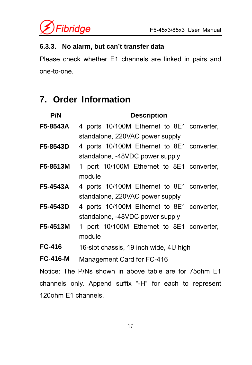

#### **6.3.3. No alarm, but can't transfer data**

Please check whether E1 channels are linked in pairs and one-to-one.

# **7. Order Information**

| P/N             | <b>Description</b>                                     |
|-----------------|--------------------------------------------------------|
| F5-8543A        | 4 ports 10/100M Ethernet to 8E1 converter,             |
|                 | standalone, 220VAC power supply                        |
| F5-8543D        | 4 ports 10/100M Ethernet to 8E1 converter,             |
|                 | standalone, -48VDC power supply                        |
| F5-8513M        | 1 port 10/100M Ethernet to 8E1 converter,              |
|                 | module                                                 |
| F5-4543A        | 4 ports 10/100M Ethernet to 8E1 converter,             |
|                 | standalone, 220VAC power supply                        |
| F5-4543D        | 4 ports 10/100M Ethernet to 8E1 converter,             |
|                 | standalone, -48VDC power supply                        |
| F5-4513M        | 1 port 10/100M Ethernet to 8E1 converter,              |
|                 | module                                                 |
| <b>FC-416</b>   | 16-slot chassis, 19 inch wide, 4U high                 |
| <b>FC-416-M</b> | Management Card for FC-416                             |
|                 | Notice: The P/Ns shown in above table are for 75ohm E1 |

channels only. Append suffix "-H" for each to represent 120ohm E1 channels.